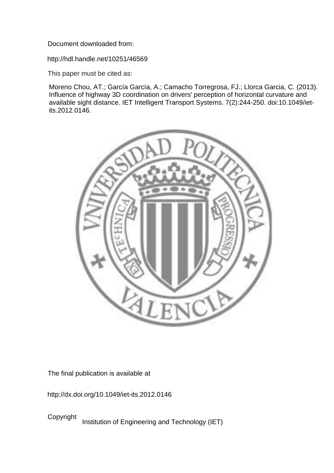Document downloaded from:

http://hdl.handle.net/10251/46569

This paper must be cited as:

Moreno Chou, AT.; García García, A.; Camacho Torregrosa, FJ.; Llorca Garcia, C. (2013). Influence of highway 3D coordination on drivers' perception of horizontal curvature and available sight distance. IET Intelligent Transport Systems. 7(2):244-250. doi:10.1049/ietits.2012.0146.



The final publication is available at

http://dx.doi.org/10.1049/iet-its.2012.0146

Copyright Institution of Engineering and Technology (IET)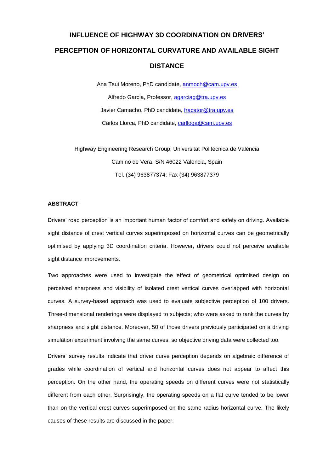# **INFLUENCE OF HIGHWAY 3D COORDINATION ON DRIVERS' PERCEPTION OF HORIZONTAL CURVATURE AND AVAILABLE SIGHT DISTANCE**

Ana Tsui Moreno, PhD candidate, [anmoch@cam.upv.es](mailto:anmoch@cam.upv.es) Alfredo Garcia, Professor, [agarciag@tra.upv.es](mailto:agarciag@tra.upv.es) Javier Camacho, PhD candidate, [fracator@tra.upv.es](mailto:fracator@tra.upv.es) Carlos Llorca, PhD candidate, [carlloga@cam.upv.es](mailto:carlloga@cam.upv.es)

Highway Engineering Research Group, Universitat Politécnica de València Camino de Vera, S/N 46022 Valencia, Spain Tel. (34) 963877374; Fax (34) 963877379

## **ABSTRACT**

Drivers' road perception is an important human factor of comfort and safety on driving. Available sight distance of crest vertical curves superimposed on horizontal curves can be geometrically optimised by applying 3D coordination criteria. However, drivers could not perceive available sight distance improvements.

Two approaches were used to investigate the effect of geometrical optimised design on perceived sharpness and visibility of isolated crest vertical curves overlapped with horizontal curves. A survey-based approach was used to evaluate subjective perception of 100 drivers. Three-dimensional renderings were displayed to subjects; who were asked to rank the curves by sharpness and sight distance. Moreover, 50 of those drivers previously participated on a driving simulation experiment involving the same curves, so objective driving data were collected too.

Drivers' survey results indicate that driver curve perception depends on algebraic difference of grades while coordination of vertical and horizontal curves does not appear to affect this perception. On the other hand, the operating speeds on different curves were not statistically different from each other. Surprisingly, the operating speeds on a flat curve tended to be lower than on the vertical crest curves superimposed on the same radius horizontal curve. The likely causes of these results are discussed in the paper.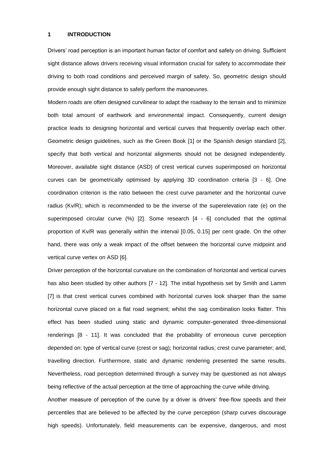#### **1 INTRODUCTION**

Drivers' road perception is an important human factor of comfort and safety on driving. Sufficient sight distance allows drivers receiving visual information crucial for safety to accommodate their driving to both road conditions and perceived margin of safety. So, geometric design should provide enough sight distance to safely perform the manoeuvres.

Modern roads are often designed curvilinear to adapt the roadway to the terrain and to minimize both total amount of earthwork and environmental impact. Consequently, current design practice leads to designing horizontal and vertical curves that frequently overlap each other. Geometric design guidelines, such as the Green Book [1] or the Spanish design standard [2], specify that both vertical and horizontal alignments should not be designed independently. Moreover, available sight distance (ASD) of crest vertical curves superimposed on horizontal curves can be geometrically optimised by applying 3D coordination criteria [3 - 6]. One coordination criterion is the ratio between the crest curve parameter and the horizontal curve radius (Kv/R); which is recommended to be the inverse of the superelevation rate (e) on the superimposed circular curve (%) [2]. Some research [4 - 6] concluded that the optimal proportion of Kv/R was generally within the interval [0.05, 0.15] per cent grade. On the other hand, there was only a weak impact of the offset between the horizontal curve midpoint and vertical curve vertex on ASD [6].

Driver perception of the horizontal curvature on the combination of horizontal and vertical curves has also been studied by other authors [7 - 12]. The initial hypothesis set by Smith and Lamm [7] is that crest vertical curves combined with horizontal curves look sharper than the same horizontal curve placed on a flat road segment; whilst the sag combination looks flatter. This effect has been studied using static and dynamic computer-generated three-dimensional renderings [8 - 11]. It was concluded that the probability of erroneous curve perception depended on: type of vertical curve (crest or sag); horizontal radius; crest curve parameter; and, travelling direction. Furthermore, static and dynamic rendering presented the same results. Nevertheless, road perception determined through a survey may be questioned as not always being reflective of the actual perception at the time of approaching the curve while driving.

Another measure of perception of the curve by a driver is drivers' free-flow speeds and their percentiles that are believed to be affected by the curve perception (sharp curves discourage high speeds). Unfortunately, field measurements can be expensive, dangerous, and most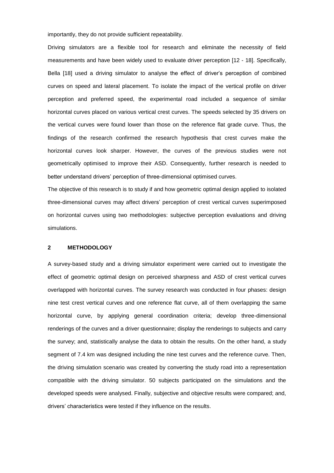importantly, they do not provide sufficient repeatability.

Driving simulators are a flexible tool for research and eliminate the necessity of field measurements and have been widely used to evaluate driver perception [12 - 18]. Specifically, Bella [18] used a driving simulator to analyse the effect of driver's perception of combined curves on speed and lateral placement. To isolate the impact of the vertical profile on driver perception and preferred speed, the experimental road included a sequence of similar horizontal curves placed on various vertical crest curves. The speeds selected by 35 drivers on the vertical curves were found lower than those on the reference flat grade curve. Thus, the findings of the research confirmed the research hypothesis that crest curves make the horizontal curves look sharper. However, the curves of the previous studies were not geometrically optimised to improve their ASD. Consequently, further research is needed to better understand drivers' perception of three-dimensional optimised curves.

The objective of this research is to study if and how geometric optimal design applied to isolated three-dimensional curves may affect drivers' perception of crest vertical curves superimposed on horizontal curves using two methodologies: subjective perception evaluations and driving simulations.

#### **2 METHODOLOGY**

A survey-based study and a driving simulator experiment were carried out to investigate the effect of geometric optimal design on perceived sharpness and ASD of crest vertical curves overlapped with horizontal curves. The survey research was conducted in four phases: design nine test crest vertical curves and one reference flat curve, all of them overlapping the same horizontal curve, by applying general coordination criteria; develop three-dimensional renderings of the curves and a driver questionnaire; display the renderings to subjects and carry the survey; and, statistically analyse the data to obtain the results. On the other hand, a study segment of 7.4 km was designed including the nine test curves and the reference curve. Then, the driving simulation scenario was created by converting the study road into a representation compatible with the driving simulator. 50 subjects participated on the simulations and the developed speeds were analysed. Finally, subjective and objective results were compared; and, drivers' characteristics were tested if they influence on the results.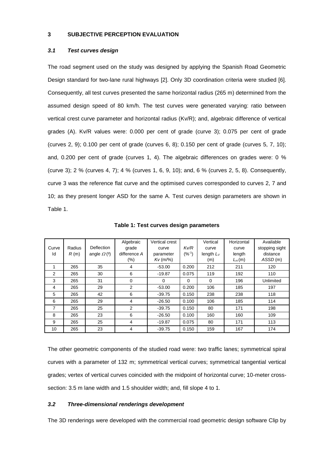## **3 SUBJECTIVE PERCEPTION EVALUATION**

## *3.1 Test curves design*

The road segment used on the study was designed by applying the Spanish Road Geometric Design standard for two-lane rural highways [2]. Only 3D coordination criteria were studied [6]. Consequently, all test curves presented the same horizontal radius (265 m) determined from the assumed design speed of 80 km/h. The test curves were generated varying: ratio between vertical crest curve parameter and horizontal radius (Kv/R); and, algebraic difference of vertical grades (A). Kv/R values were: 0.000 per cent of grade (curve 3); 0.075 per cent of grade (curves 2, 9); 0.100 per cent of grade (curves 6, 8); 0.150 per cent of grade (curves 5, 7, 10); and, 0.200 per cent of grade (curves 1, 4). The algebraic differences on grades were: 0 % (curve 3); 2 % (curves 4, 7); 4 % (curves 1, 6, 9, 10); and, 6 % (curves 2, 5, 8). Consequently, curve 3 was the reference flat curve and the optimised curves corresponded to curves 2, 7 and 10; as they present longer ASD for the same A. Test curves design parameters are shown in Table 1.

|       |        |                      | Algebraic    | Vertical crest |            | Vertical     | Horizontal | Available      |
|-------|--------|----------------------|--------------|----------------|------------|--------------|------------|----------------|
| Curve | Radius | Deflection           | grade        | curve          | Kv/R       | curve        | curve      | stopping sight |
| ld    | R(m)   | angle $\Omega^{(9)}$ | difference A | parameter      | $(%^{-1})$ | length $L_V$ | length     | distance       |
|       |        |                      | (%)          | $Kv$ (m/%)     |            | (m)          | $L_H(m)$   | ASSD(m)        |
|       | 265    | 35                   | 4            | $-53.00$       | 0.200      | 212          | 211        | 120            |
| 2     | 265    | 30                   | 6            | $-19.87$       | 0.075      | 119          | 192        | 110            |
| 3     | 265    | 31                   | $\mathbf 0$  | $\Omega$       | 0          | $\Omega$     | 196        | Unlimited      |
| 4     | 265    | 29                   | 2            | $-53.00$       | 0.200      | 106          | 185        | 197            |
| 5     | 265    | 42                   | 6            | $-39.75$       | 0.150      | 238          | 238        | 118            |
| 6     | 265    | 29                   | 4            | $-26.50$       | 0.100      | 106          | 185        | 114            |
| 7     | 265    | 25                   | 2            | $-39.75$       | 0.150      | 80           | 171        | 198            |
| 8     | 265    | 23                   | 6            | $-26.50$       | 0.100      | 160          | 160        | 109            |
| 9     | 265    | 25                   | 4            | $-19.87$       | 0.075      | 80           | 171        | 113            |
| 10    | 265    | 23                   | 4            | $-39.75$       | 0.150      | 159          | 167        | 174            |

**Table 1: Test curves design parameters**

The other geometric components of the studied road were: two traffic lanes; symmetrical spiral curves with a parameter of 132 m; symmetrical vertical curves; symmetrical tangential vertical grades; vertex of vertical curves coincided with the midpoint of horizontal curve; 10-meter crosssection: 3.5 m lane width and 1.5 shoulder width; and, fill slope 4 to 1.

#### *3.2 Three-dimensional renderings development*

The 3D renderings were developed with the commercial road geometric design software Clip by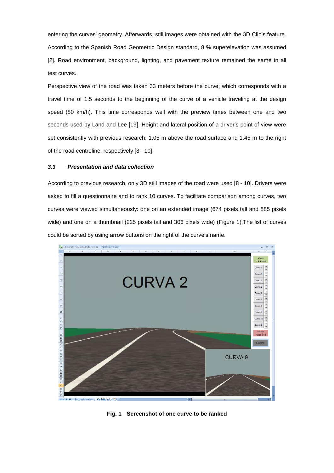entering the curves' geometry. Afterwards, still images were obtained with the 3D Clip's feature. According to the Spanish Road Geometric Design standard, 8 % superelevation was assumed [2]. Road environment, background, lighting, and pavement texture remained the same in all test curves.

Perspective view of the road was taken 33 meters before the curve; which corresponds with a travel time of 1.5 seconds to the beginning of the curve of a vehicle traveling at the design speed (80 km/h). This time corresponds well with the preview times between one and two seconds used by Land and Lee [19]. Height and lateral position of a driver's point of view were set consistently with previous research: 1.05 m above the road surface and 1.45 m to the right of the road centreline, respectively [8 - 10].

#### *3.3 Presentation and data collection*

According to previous research, only 3D still images of the road were used [8 - 10]. Drivers were asked to fill a questionnaire and to rank 10 curves. To facilitate comparison among curves, two curves were viewed simultaneously: one on an extended image (674 pixels tall and 885 pixels wide) and one on a thumbnail (225 pixels tall and 306 pixels wide) (Figure 1).The list of curves could be sorted by using arrow buttons on the right of the curve's name.



**Fig. 1 Screenshot of one curve to be ranked**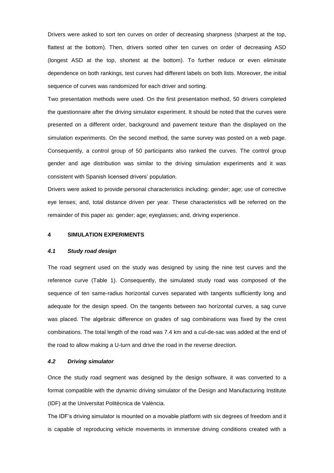Drivers were asked to sort ten curves on order of decreasing sharpness (sharpest at the top, flattest at the bottom). Then, drivers sorted other ten curves on order of decreasing ASD (longest ASD at the top, shortest at the bottom). To further reduce or even eliminate dependence on both rankings, test curves had different labels on both lists. Moreover, the initial sequence of curves was randomized for each driver and sorting.

Two presentation methods were used. On the first presentation method, 50 drivers completed the questionnaire after the driving simulator experiment. It should be noted that the curves were presented on a different order, background and pavement texture than the displayed on the simulation experiments. On the second method, the same survey was posted on a web page. Consequently, a control group of 50 participants also ranked the curves. The control group gender and age distribution was similar to the driving simulation experiments and it was consistent with Spanish licensed drivers' population.

Drivers were asked to provide personal characteristics including: gender; age; use of corrective eye lenses; and, total distance driven per year. These characteristics will be referred on the remainder of this paper as: gender; age; eyeglasses; and, driving experience.

#### **4 SIMULATION EXPERIMENTS**

#### *4.1 Study road design*

The road segment used on the study was designed by using the nine test curves and the reference curve (Table 1). Consequently, the simulated study road was composed of the sequence of ten same-radius horizontal curves separated with tangents sufficiently long and adequate for the design speed. On the tangents between two horizontal curves, a sag curve was placed. The algebraic difference on grades of sag combinations was fixed by the crest combinations. The total length of the road was 7.4 km and a cul-de-sac was added at the end of the road to allow making a U-turn and drive the road in the reverse direction.

#### *4.2 Driving simulator*

Once the study road segment was designed by the design software, it was converted to a format compatible with the dynamic driving simulator of the Design and Manufacturing Institute (IDF) at the Universitat Politècnica de València.

The IDF's driving simulator is mounted on a movable platform with six degrees of freedom and it is capable of reproducing vehicle movements in immersive driving conditions created with a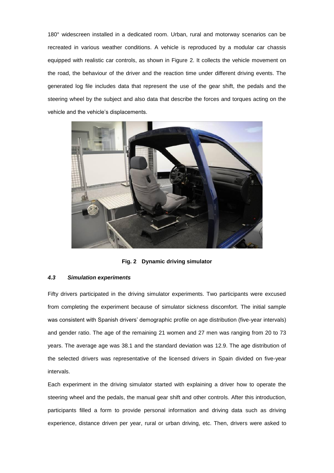180° widescreen installed in a dedicated room. Urban, rural and motorway scenarios can be recreated in various weather conditions. A vehicle is reproduced by a modular car chassis equipped with realistic car controls, as shown in Figure 2. It collects the vehicle movement on the road, the behaviour of the driver and the reaction time under different driving events. The generated log file includes data that represent the use of the gear shift, the pedals and the steering wheel by the subject and also data that describe the forces and torques acting on the vehicle and the vehicle's displacements.



**Fig. 2 Dynamic driving simulator**

#### *4.3 Simulation experiments*

Fifty drivers participated in the driving simulator experiments. Two participants were excused from completing the experiment because of simulator sickness discomfort. The initial sample was consistent with Spanish drivers' demographic profile on age distribution (five-year intervals) and gender ratio. The age of the remaining 21 women and 27 men was ranging from 20 to 73 years. The average age was 38.1 and the standard deviation was 12.9. The age distribution of the selected drivers was representative of the licensed drivers in Spain divided on five-year intervals.

Each experiment in the driving simulator started with explaining a driver how to operate the steering wheel and the pedals, the manual gear shift and other controls. After this introduction, participants filled a form to provide personal information and driving data such as driving experience, distance driven per year, rural or urban driving, etc. Then, drivers were asked to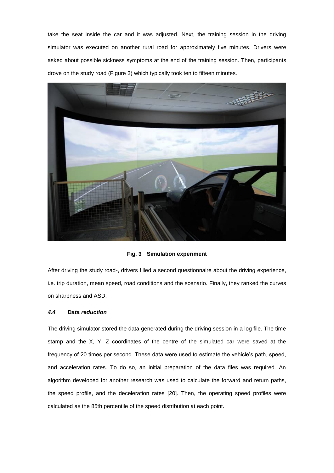take the seat inside the car and it was adjusted. Next, the training session in the driving simulator was executed on another rural road for approximately five minutes. Drivers were asked about possible sickness symptoms at the end of the training session. Then, participants drove on the study road (Figure 3) which typically took ten to fifteen minutes.



**Fig. 3 Simulation experiment**

After driving the study road-, drivers filled a second questionnaire about the driving experience, i.e. trip duration, mean speed, road conditions and the scenario. Finally, they ranked the curves on sharpness and ASD.

#### *4.4 Data reduction*

The driving simulator stored the data generated during the driving session in a log file. The time stamp and the X, Y, Z coordinates of the centre of the simulated car were saved at the frequency of 20 times per second. These data were used to estimate the vehicle's path, speed, and acceleration rates. To do so, an initial preparation of the data files was required. An algorithm developed for another research was used to calculate the forward and return paths, the speed profile, and the deceleration rates [20]. Then, the operating speed profiles were calculated as the 85th percentile of the speed distribution at each point.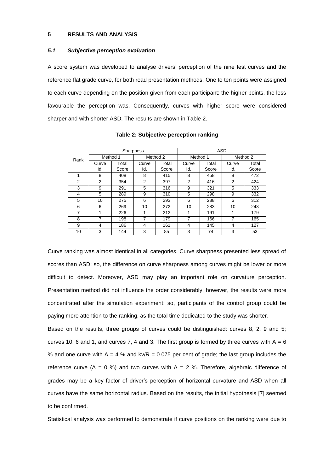## **5 RESULTS AND ANALYSIS**

#### *5.1 Subjective perception evaluation*

A score system was developed to analyse drivers' perception of the nine test curves and the reference flat grade curve, for both road presentation methods. One to ten points were assigned to each curve depending on the position given from each participant: the higher points, the less favourable the perception was. Consequently, curves with higher score were considered sharper and with shorter ASD. The results are shown in Table 2.

| Rank |          | Sharpness |          |       | <b>ASD</b>     |       |          |       |  |
|------|----------|-----------|----------|-------|----------------|-------|----------|-------|--|
|      | Method 1 |           | Method 2 |       | Method 1       |       | Method 2 |       |  |
|      | Curve    | Total     | Curve    | Total | Curve          | Total | Curve    | Total |  |
|      | ld.      | Score     | Id.      | Score | Id.            | Score | Id.      | Score |  |
| 1    | 8        | 408       | 8        | 415   | 8              | 458   | 8        | 472   |  |
| 2    | 2        | 354       | 2        | 397   | $\overline{2}$ | 416   | 2        | 424   |  |
| 3    | 9        | 291       | 5        | 316   | 9              | 321   | 5        | 333   |  |
| 4    | 5        | 289       | 9        | 310   | 5              | 298   | 9        | 332   |  |
| 5    | 10       | 275       | 6        | 293   | 6              | 288   | 6        | 312   |  |
| 6    | 6        | 269       | 10       | 272   | 10             | 283   | 10       | 243   |  |
| 7    | 1        | 226       | 1        | 212   | 1              | 191   | 1        | 179   |  |
| 8    | 7        | 198       | 7        | 179   | 7              | 166   | 7        | 165   |  |
| 9    | 4        | 186       | 4        | 161   | 4              | 145   | 4        | 127   |  |
| 10   | 3        | 144       | 3        | 85    | 3              | 74    | 3        | 53    |  |

**Table 2: Subjective perception ranking**

Curve ranking was almost identical in all categories. Curve sharpness presented less spread of scores than ASD; so, the difference on curve sharpness among curves might be lower or more difficult to detect. Moreover, ASD may play an important role on curvature perception. Presentation method did not influence the order considerably; however, the results were more concentrated after the simulation experiment; so, participants of the control group could be paying more attention to the ranking, as the total time dedicated to the study was shorter.

Based on the results, three groups of curves could be distinguished: curves 8, 2, 9 and 5; curves 10, 6 and 1, and curves 7, 4 and 3. The first group is formed by three curves with  $A = 6$ % and one curve with  $A = 4$  % and kv/R = 0.075 per cent of grade; the last group includes the reference curve (A = 0 %) and two curves with A = 2 %. Therefore, algebraic difference of grades may be a key factor of driver's perception of horizontal curvature and ASD when all curves have the same horizontal radius. Based on the results, the initial hypothesis [7] seemed to be confirmed.

Statistical analysis was performed to demonstrate if curve positions on the ranking were due to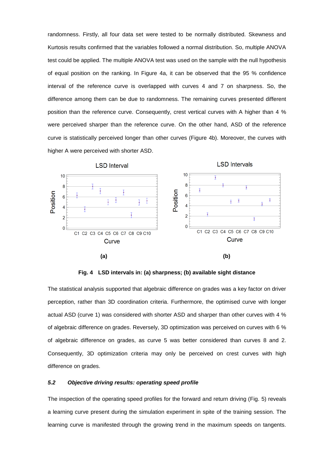randomness. Firstly, all four data set were tested to be normally distributed. Skewness and Kurtosis results confirmed that the variables followed a normal distribution. So, multiple ANOVA test could be applied. The multiple ANOVA test was used on the sample with the null hypothesis of equal position on the ranking. In Figure 4a, it can be observed that the 95 % confidence interval of the reference curve is overlapped with curves 4 and 7 on sharpness. So, the difference among them can be due to randomness. The remaining curves presented different position than the reference curve. Consequently, crest vertical curves with A higher than 4 % were perceived sharper than the reference curve. On the other hand, ASD of the reference curve is statistically perceived longer than other curves (Figure 4b). Moreover, the curves with higher A were perceived with shorter ASD.



**Fig. 4 LSD intervals in: (a) sharpness; (b) available sight distance**

The statistical analysis supported that algebraic difference on grades was a key factor on driver perception, rather than 3D coordination criteria. Furthermore, the optimised curve with longer actual ASD (curve 1) was considered with shorter ASD and sharper than other curves with 4 % of algebraic difference on grades. Reversely, 3D optimization was perceived on curves with 6 % of algebraic difference on grades, as curve 5 was better considered than curves 8 and 2. Consequently, 3D optimization criteria may only be perceived on crest curves with high difference on grades.

## *5.2 Objective driving results: operating speed profile*

The inspection of the operating speed profiles for the forward and return driving (Fig. 5) reveals a learning curve present during the simulation experiment in spite of the training session. The learning curve is manifested through the growing trend in the maximum speeds on tangents.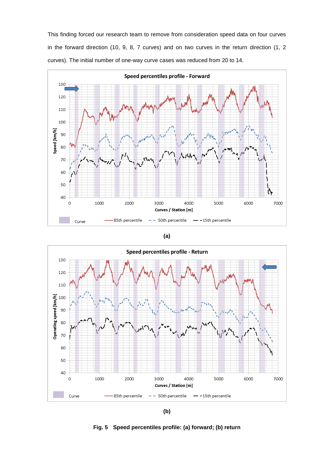This finding forced our research team to remove from consideration speed data on four curves in the forward direction (10, 9, 8, 7 curves) and on two curves in the return direction (1, 2 curves). The initial number of one-way curve cases was reduced from 20 to 14.







**(b)**

**Fig. 5 Speed percentiles profile: (a) forward; (b) return**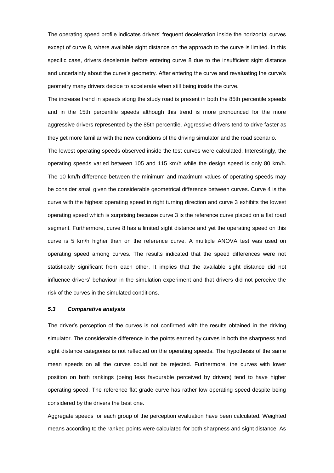The operating speed profile indicates drivers' frequent deceleration inside the horizontal curves except of curve 8, where available sight distance on the approach to the curve is limited. In this specific case, drivers decelerate before entering curve 8 due to the insufficient sight distance and uncertainty about the curve's geometry. After entering the curve and revaluating the curve's geometry many drivers decide to accelerate when still being inside the curve.

The increase trend in speeds along the study road is present in both the 85th percentile speeds and in the 15th percentile speeds although this trend is more pronounced for the more aggressive drivers represented by the 85th percentile. Aggressive drivers tend to drive faster as they get more familiar with the new conditions of the driving simulator and the road scenario.

The lowest operating speeds observed inside the test curves were calculated. Interestingly, the operating speeds varied between 105 and 115 km/h while the design speed is only 80 km/h. The 10 km/h difference between the minimum and maximum values of operating speeds may be consider small given the considerable geometrical difference between curves. Curve 4 is the curve with the highest operating speed in right turning direction and curve 3 exhibits the lowest operating speed which is surprising because curve 3 is the reference curve placed on a flat road segment. Furthermore, curve 8 has a limited sight distance and yet the operating speed on this curve is 5 km/h higher than on the reference curve. A multiple ANOVA test was used on operating speed among curves. The results indicated that the speed differences were not statistically significant from each other. It implies that the available sight distance did not influence drivers' behaviour in the simulation experiment and that drivers did not perceive the risk of the curves in the simulated conditions.

## *5.3 Comparative analysis*

The driver's perception of the curves is not confirmed with the results obtained in the driving simulator. The considerable difference in the points earned by curves in both the sharpness and sight distance categories is not reflected on the operating speeds. The hypothesis of the same mean speeds on all the curves could not be rejected. Furthermore, the curves with lower position on both rankings (being less favourable perceived by drivers) tend to have higher operating speed. The reference flat grade curve has rather low operating speed despite being considered by the drivers the best one.

Aggregate speeds for each group of the perception evaluation have been calculated. Weighted means according to the ranked points were calculated for both sharpness and sight distance. As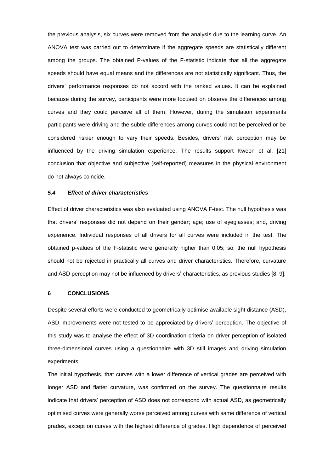the previous analysis, six curves were removed from the analysis due to the learning curve. An ANOVA test was carried out to determinate if the aggregate speeds are statistically different among the groups. The obtained P-values of the F-statistic indicate that all the aggregate speeds should have equal means and the differences are not statistically significant. Thus, the drivers' performance responses do not accord with the ranked values. It can be explained because during the survey, participants were more focused on observe the differences among curves and they could perceive all of them. However, during the simulation experiments participants were driving and the subtle differences among curves could not be perceived or be considered riskier enough to vary their speeds. Besides, drivers' risk perception may be influenced by the driving simulation experience. The results support Kweon et al. [21] conclusion that objective and subjective (self-reported) measures in the physical environment do not always coincide.

#### *5.4 Effect of driver characteristics*

Effect of driver characteristics was also evaluated using ANOVA F-test. The null hypothesis was that drivers' responses did not depend on their gender; age; use of eyeglasses; and, driving experience. Individual responses of all drivers for all curves were included in the test. The obtained p-values of the F-statistic were generally higher than 0.05; so, the null hypothesis should not be rejected in practically all curves and driver characteristics. Therefore, curvature and ASD perception may not be influenced by drivers' characteristics, as previous studies [8, 9].

## **6 CONCLUSIONS**

Despite several efforts were conducted to geometrically optimise available sight distance (ASD), ASD improvements were not tested to be appreciated by drivers' perception. The objective of this study was to analyse the effect of 3D coordination criteria on driver perception of isolated three-dimensional curves using a questionnaire with 3D still images and driving simulation experiments.

The initial hypothesis, that curves with a lower difference of vertical grades are perceived with longer ASD and flatter curvature, was confirmed on the survey. The questionnaire results indicate that drivers' perception of ASD does not correspond with actual ASD, as geometrically optimised curves were generally worse perceived among curves with same difference of vertical grades, except on curves with the highest difference of grades. High dependence of perceived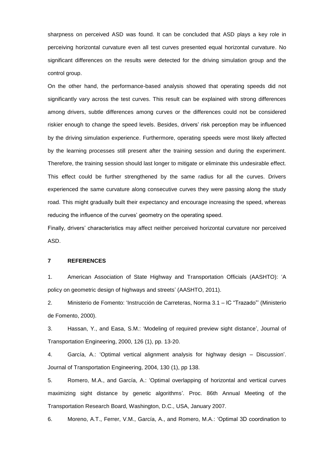sharpness on perceived ASD was found. It can be concluded that ASD plays a key role in perceiving horizontal curvature even all test curves presented equal horizontal curvature. No significant differences on the results were detected for the driving simulation group and the control group.

On the other hand, the performance-based analysis showed that operating speeds did not significantly vary across the test curves. This result can be explained with strong differences among drivers, subtle differences among curves or the differences could not be considered riskier enough to change the speed levels. Besides, drivers' risk perception may be influenced by the driving simulation experience. Furthermore, operating speeds were most likely affected by the learning processes still present after the training session and during the experiment. Therefore, the training session should last longer to mitigate or eliminate this undesirable effect. This effect could be further strengthened by the same radius for all the curves. Drivers experienced the same curvature along consecutive curves they were passing along the study road. This might gradually built their expectancy and encourage increasing the speed, whereas reducing the influence of the curves' geometry on the operating speed.

Finally, drivers' characteristics may affect neither perceived horizontal curvature nor perceived ASD.

## **7 REFERENCES**

1. American Association of State Highway and Transportation Officials (AASHTO): 'A policy on geometric design of highways and streets' (AASHTO, 2011).

2. Ministerio de Fomento: 'Instrucción de Carreteras, Norma 3.1 – IC "Trazado"' (Ministerio de Fomento, 2000).

3. Hassan, Y., and Easa, S.M.: 'Modeling of required preview sight distance', Journal of Transportation Engineering, 2000, 126 (1), pp. 13-20.

4. García, A.: 'Optimal vertical alignment analysis for highway design – Discussion'. Journal of Transportation Engineering, 2004, 130 (1), pp 138.

5. Romero, M.A., and García, A.: 'Optimal overlapping of horizontal and vertical curves maximizing sight distance by genetic algorithms'. Proc. 86th Annual Meeting of the Transportation Research Board, Washington, D.C., USA, January 2007.

6. Moreno, A.T., Ferrer, V.M., García, A., and Romero, M.A.: 'Optimal 3D coordination to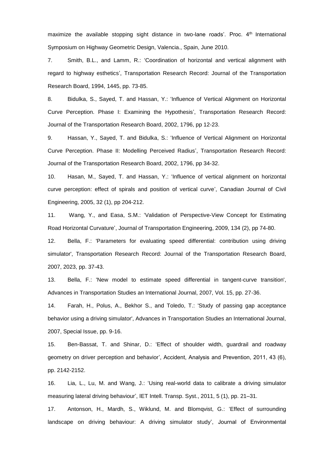maximize the available stopping sight distance in two-lane roads'. Proc. 4<sup>th</sup> International Symposium on Highway Geometric Design, Valencia., Spain, June 2010.

7. Smith, B.L., and Lamm, R.: 'Coordination of horizontal and vertical alignment with regard to highway esthetics', Transportation Research Record: Journal of the Transportation Research Board, 1994, 1445, pp. 73-85.

8. Bidulka, S., Sayed, T. and Hassan, Y.: 'Influence of Vertical Alignment on Horizontal Curve Perception. Phase I: Examining the Hypothesis', Transportation Research Record: Journal of the Transportation Research Board, 2002, 1796, pp 12-23.

9. Hassan, Y., Sayed, T. and Bidulka, S.: 'Influence of Vertical Alignment on Horizontal Curve Perception. Phase II: Modelling Perceived Radius', Transportation Research Record: Journal of the Transportation Research Board, 2002, 1796, pp 34-32.

10. Hasan, M., Sayed, T. and Hassan, Y.: 'Influence of vertical alignment on horizontal curve perception: effect of spirals and position of vertical curve', Canadian Journal of Civil Engineering, 2005, 32 (1), pp 204-212.

11. Wang, Y., and Easa, S.M.: 'Validation of Perspective-View Concept for Estimating Road Horizontal Curvature', Journal of Transportation Engineering, 2009, 134 (2), pp 74-80.

12. Bella, F.: 'Parameters for evaluating speed differential: contribution using driving simulator', Transportation Research Record: Journal of the Transportation Research Board, 2007, 2023, pp. 37-43.

13. Bella, F.: 'New model to estimate speed differential in tangent-curve transition', Advances in Transportation Studies an International Journal, 2007, Vol. 15, pp. 27-36.

14. Farah, H., Polus, A., Bekhor S., and Toledo, T.: 'Study of passing gap acceptance behavior using a driving simulator', Advances in Transportation Studies an International Journal, 2007, Special Issue, pp. 9-16.

15. Ben-Bassat, T. and Shinar, D.: 'Effect of shoulder width, guardrail and roadway geometry on driver perception and behavior', Accident, Analysis and Prevention, 2011, 43 (6), pp. 2142-2152.

16. Lia, L., Lu, M. and Wang, J.: 'Using real-world data to calibrate a driving simulator measuring lateral driving behaviour', IET Intell. Transp. Syst., 2011, 5 (1), pp. 21–31.

17. Antonson, H., Mardh, S., Wiklund, M. and Blomqvist, G.: 'Effect of surrounding landscape on driving behaviour: A driving simulator study', Journal of Environmental